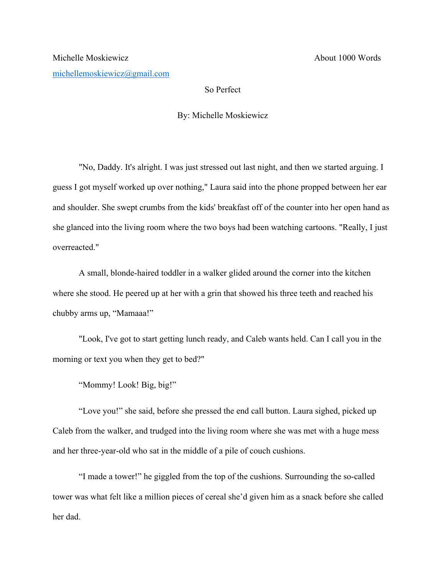## So Perfect

## By: Michelle Moskiewicz

"No, Daddy. It's alright. I was just stressed out last night, and then we started arguing. I guess I got myself worked up over nothing," Laura said into the phone propped between her ear and shoulder. She swept crumbs from the kids' breakfast off of the counter into her open hand as she glanced into the living room where the two boys had been watching cartoons. "Really, I just overreacted."

A small, blonde-haired toddler in a walker glided around the corner into the kitchen where she stood. He peered up at her with a grin that showed his three teeth and reached his chubby arms up, "Mamaaa!"

"Look, I've got to start getting lunch ready, and Caleb wants held. Can I call you in the morning or text you when they get to bed?"

"Mommy! Look! Big, big!"

"Love you!" she said, before she pressed the end call button. Laura sighed, picked up Caleb from the walker, and trudged into the living room where she was met with a huge mess and her three-year-old who sat in the middle of a pile of couch cushions.

"I made a tower!" he giggled from the top of the cushions. Surrounding the so-called tower was what felt like a million pieces of cereal she'd given him as a snack before she called her dad.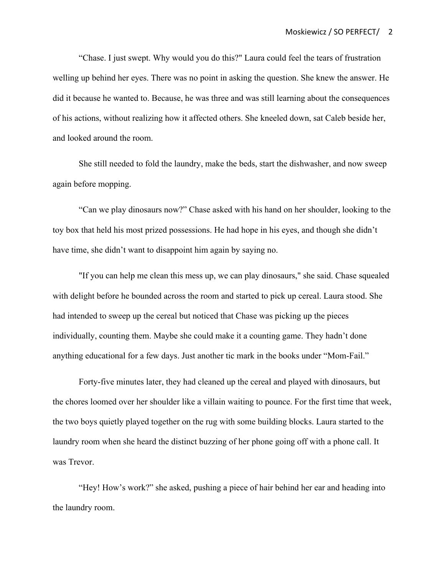"Chase. I just swept. Why would you do this?" Laura could feel the tears of frustration welling up behind her eyes. There was no point in asking the question. She knew the answer. He did it because he wanted to. Because, he was three and was still learning about the consequences of his actions, without realizing how it affected others. She kneeled down, sat Caleb beside her, and looked around the room.

She still needed to fold the laundry, make the beds, start the dishwasher, and now sweep again before mopping.

"Can we play dinosaurs now?" Chase asked with his hand on her shoulder, looking to the toy box that held his most prized possessions. He had hope in his eyes, and though she didn't have time, she didn't want to disappoint him again by saying no.

"If you can help me clean this mess up, we can play dinosaurs," she said. Chase squealed with delight before he bounded across the room and started to pick up cereal. Laura stood. She had intended to sweep up the cereal but noticed that Chase was picking up the pieces individually, counting them. Maybe she could make it a counting game. They hadn't done anything educational for a few days. Just another tic mark in the books under "Mom-Fail."

Forty-five minutes later, they had cleaned up the cereal and played with dinosaurs, but the chores loomed over her shoulder like a villain waiting to pounce. For the first time that week, the two boys quietly played together on the rug with some building blocks. Laura started to the laundry room when she heard the distinct buzzing of her phone going off with a phone call. It was Trevor.

"Hey! How's work?" she asked, pushing a piece of hair behind her ear and heading into the laundry room.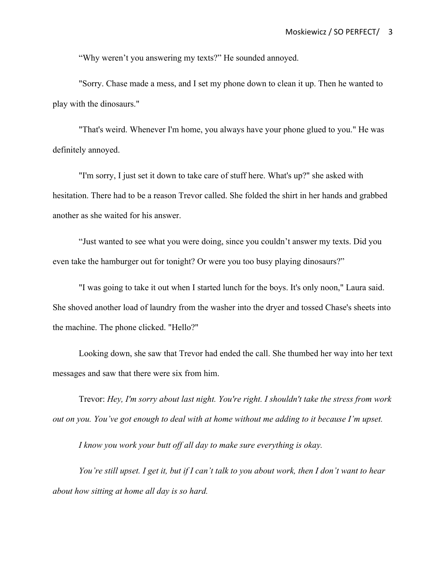"Why weren't you answering my texts?" He sounded annoyed.

"Sorry. Chase made a mess, and I set my phone down to clean it up. Then he wanted to play with the dinosaurs."

"That's weird. Whenever I'm home, you always have your phone glued to you." He was definitely annoyed.

"I'm sorry, I just set it down to take care of stuff here. What's up?" she asked with hesitation. There had to be a reason Trevor called. She folded the shirt in her hands and grabbed another as she waited for his answer.

"Just wanted to see what you were doing, since you couldn't answer my texts. Did you even take the hamburger out for tonight? Or were you too busy playing dinosaurs?"

"I was going to take it out when I started lunch for the boys. It's only noon," Laura said. She shoved another load of laundry from the washer into the dryer and tossed Chase's sheets into the machine. The phone clicked. "Hello?"

Looking down, she saw that Trevor had ended the call. She thumbed her way into her text messages and saw that there were six from him.

Trevor: *Hey, I'm sorry about last night. You're right. I shouldn't take the stress from work out on you. You've got enough to deal with at home without me adding to it because I'm upset.*

*I know you work your butt off all day to make sure everything is okay.*

*You're still upset. I get it, but if I can't talk to you about work, then I don't want to hear about how sitting at home all day is so hard.*